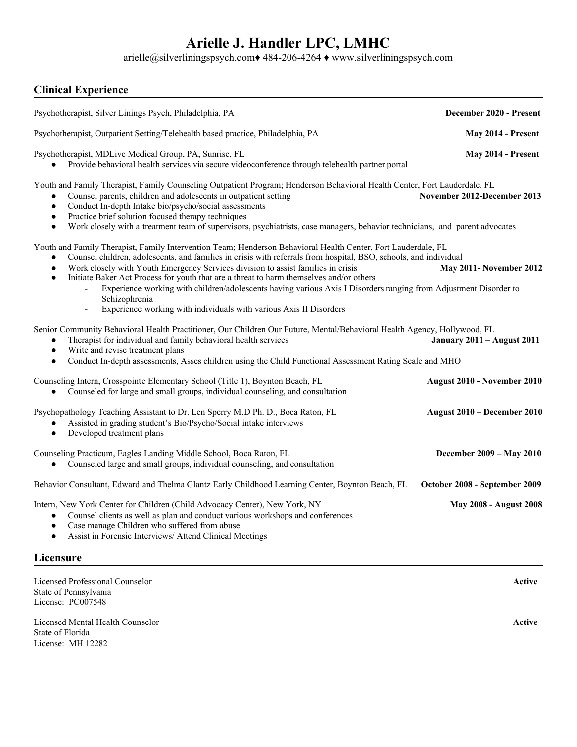# **Arielle J. Handler LPC, LMHC**

arielle@silverliningspsych.com♦ 484-206-4264 ♦ www.silverliningspsych.com

### **Clinical Experience**

| Psychotherapist, Silver Linings Psych, Philadelphia, PA                                                                                                                                                                                                                                                                                                                                                                                                                                                                                                                                                                                               | December 2020 - Present           |
|-------------------------------------------------------------------------------------------------------------------------------------------------------------------------------------------------------------------------------------------------------------------------------------------------------------------------------------------------------------------------------------------------------------------------------------------------------------------------------------------------------------------------------------------------------------------------------------------------------------------------------------------------------|-----------------------------------|
| Psychotherapist, Outpatient Setting/Telehealth based practice, Philadelphia, PA                                                                                                                                                                                                                                                                                                                                                                                                                                                                                                                                                                       | May 2014 - Present                |
| Psychotherapist, MDLive Medical Group, PA, Sunrise, FL<br>Provide behavioral health services via secure videoconference through telehealth partner portal                                                                                                                                                                                                                                                                                                                                                                                                                                                                                             | May 2014 - Present                |
| Youth and Family Therapist, Family Counseling Outpatient Program; Henderson Behavioral Health Center, Fort Lauderdale, FL<br>Counsel parents, children and adolescents in outpatient setting<br>Conduct In-depth Intake bio/psycho/social assessments<br>$\bullet$<br>Practice brief solution focused therapy techniques<br>$\bullet$<br>Work closely with a treatment team of supervisors, psychiatrists, case managers, behavior technicians, and parent advocates<br>$\bullet$                                                                                                                                                                     | November 2012-December 2013       |
| Youth and Family Therapist, Family Intervention Team; Henderson Behavioral Health Center, Fort Lauderdale, FL<br>Counsel children, adolescents, and families in crisis with referrals from hospital, BSO, schools, and individual<br>Work closely with Youth Emergency Services division to assist families in crisis<br>$\bullet$<br>Initiate Baker Act Process for youth that are a threat to harm themselves and/or others<br>$\bullet$<br>Experience working with children/adolescents having various Axis I Disorders ranging from Adjustment Disorder to<br>Schizophrenia<br>Experience working with individuals with various Axis II Disorders | May 2011- November 2012           |
| Senior Community Behavioral Health Practitioner, Our Children Our Future, Mental/Behavioral Health Agency, Hollywood, FL<br>Therapist for individual and family behavioral health services<br>$\bullet$<br>Write and revise treatment plans<br>$\bullet$<br>Conduct In-depth assessments, Asses children using the Child Functional Assessment Rating Scale and MHO<br>$\bullet$                                                                                                                                                                                                                                                                      | <b>January 2011 - August 2011</b> |
| Counseling Intern, Crosspointe Elementary School (Title 1), Boynton Beach, FL<br>Counseled for large and small groups, individual counseling, and consultation                                                                                                                                                                                                                                                                                                                                                                                                                                                                                        | August 2010 - November 2010       |
| Psychopathology Teaching Assistant to Dr. Len Sperry M.D Ph. D., Boca Raton, FL<br>Assisted in grading student's Bio/Psycho/Social intake interviews<br>Developed treatment plans<br>$\bullet$                                                                                                                                                                                                                                                                                                                                                                                                                                                        | August 2010 - December 2010       |
| Counseling Practicum, Eagles Landing Middle School, Boca Raton, FL<br>Counseled large and small groups, individual counseling, and consultation                                                                                                                                                                                                                                                                                                                                                                                                                                                                                                       | December 2009 - May 2010          |
| Behavior Consultant, Edward and Thelma Glantz Early Childhood Learning Center, Boynton Beach, FL                                                                                                                                                                                                                                                                                                                                                                                                                                                                                                                                                      | October 2008 - September 2009     |
| Intern, New York Center for Children (Child Advocacy Center), New York, NY<br>Counsel clients as well as plan and conduct various workshops and conferences<br>$\bullet$<br>Case manage Children who suffered from abuse<br>$\bullet$<br>Assist in Forensic Interviews/ Attend Clinical Meetings<br>$\bullet$                                                                                                                                                                                                                                                                                                                                         | <b>May 2008 - August 2008</b>     |
| Licensure                                                                                                                                                                                                                                                                                                                                                                                                                                                                                                                                                                                                                                             |                                   |

Licensed Professional Counselor **Active** State of Pennsylvania License: PC007548

Licensed Mental Health Counselor **Active** State of Florida License: MH 12282